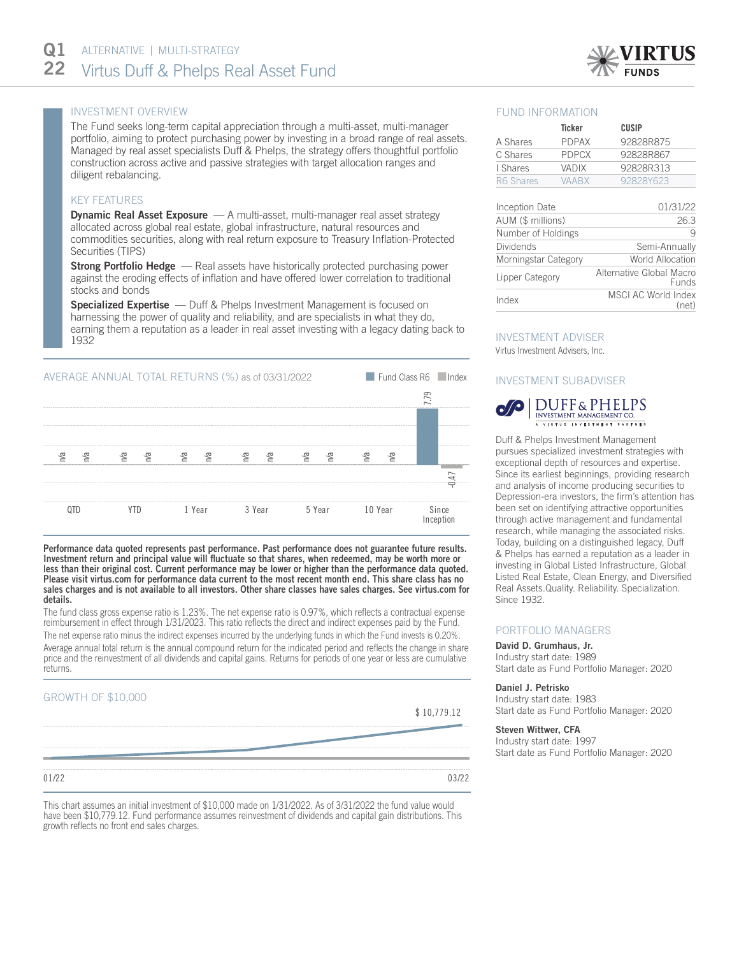

# INVESTMENT OVERVIEW

The Fund seeks long-term capital appreciation through a multi-asset, multi-manager portfolio, aiming to protect purchasing power by investing in a broad range of real assets. Managed by real asset specialists Duff & Phelps, the strategy offers thoughtful portfolio construction across active and passive strategies with target allocation ranges and diligent rebalancing.

## KEY FEATURES

**Dynamic Real Asset Exposure** - A multi-asset, multi-manager real asset strategy allocated across global real estate, global infrastructure, natural resources and commodities securities, along with real return exposure to Treasury Inflation-Protected Securities (TIPS)

**Strong Portfolio Hedge** — Real assets have historically protected purchasing power against the eroding effects of inflation and have offered lower correlation to traditional stocks and bonds

Specialized Expertise - Duff & Phelps Investment Management is focused on harnessing the power of quality and reliability, and are specialists in what they do, earning them a reputation as a leader in real asset investing with a legacy dating back to 1932



Performance data quoted represents past performance. Past performance does not guarantee future results. Investment return and principal value will fluctuate so that shares, when redeemed, may be worth more or less than their original cost. Current performance may be lower or higher than the performance data quoted. Please visit virtus.com for performance data current to the most recent month end. This share class has no sales charges and is not available to all investors. Other share classes have sales charges. See virtus.com for details.

The fund class gross expense ratio is 1.23%. The net expense ratio is 0.97%, which reflects a contractual expense reimbursement in effect through 1/31/2023. This ratio reflects the direct and indirect expenses paid by the Fund. The net expense ratio minus the indirect expenses incurred by the underlying funds in which the Fund invests is 0.20%. Average annual total return is the annual compound return for the indicated period and reflects the change in share price and the reinvestment of all dividends and capital gains. Returns for periods of one year or less are cumulative returns.

## GROWTH OF \$10,000

\$ 10,779.12

| and then they will be the |       |
|---------------------------|-------|
| 01/22                     | 03/22 |

This chart assumes an initial investment of \$10,000 made on 1/31/2022. As of 3/31/2022 the fund value would have been \$10,779.12. Fund performance assumes reinvestment of dividends and capital gain distributions. This growth reflects no front end sales charges.

## FUND INFORMATION

|                      | <b>Ticker</b> | <b>CUSIP</b>                      |
|----------------------|---------------|-----------------------------------|
| A Shares             | <b>PDPAX</b>  | 92828R875                         |
| C Shares             | <b>PDPCX</b>  | 92828R867                         |
| I Shares             | VADIX         | 92828R313                         |
| R6 Shares            | <b>VAABX</b>  | 92828Y623                         |
|                      |               |                                   |
| Inception Date       |               | 01/31/22                          |
| AUM (\$ millions)    |               | 26.3                              |
| Number of Holdings   |               | 9                                 |
| Dividends            |               | Semi-Annually                     |
| Morningstar Category |               | World Allocation                  |
| Lipper Category      |               | Alternative Global Macro<br>Funds |
| Index                |               | MSCI AC World Index<br>(net)      |

# INVESTMENT ADVISER

Virtus Investment Advisers, Inc.

## INVESTMENT SUBADVISER



Duff & Phelps Investment Management pursues specialized investment strategies with exceptional depth of resources and expertise. Since its earliest beginnings, providing research and analysis of income producing securities to Depression-era investors, the firm's attention has been set on identifying attractive opportunities through active management and fundamental research, while managing the associated risks. Today, building on a distinguished legacy, Duff & Phelps has earned a reputation as a leader in investing in Global Listed Infrastructure, Global Listed Real Estate, Clean Energy, and Diversified Real Assets.Quality. Reliability. Specialization. Since 1932.

## PORTFOLIO MANAGERS

David D. Grumhaus, Jr. Industry start date: 1989 Start date as Fund Portfolio Manager: 2020

#### Daniel J. Petrisko

Industry start date: 1983 Start date as Fund Portfolio Manager: 2020

#### Steven Wittwer, CFA

Industry start date: 1997 Start date as Fund Portfolio Manager: 2020